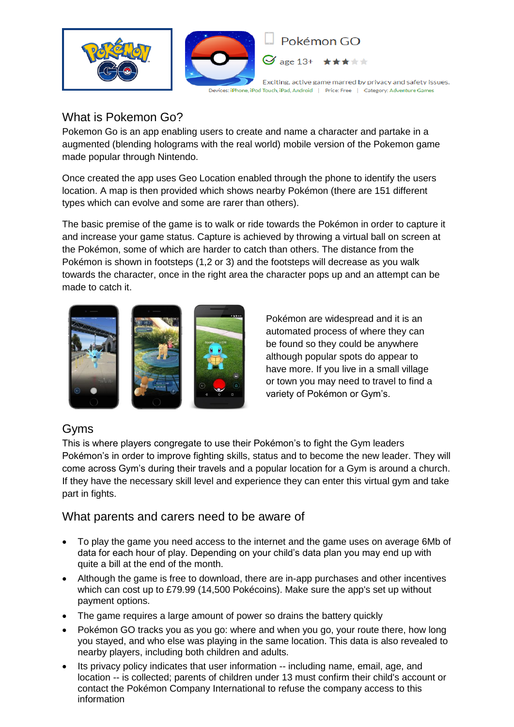

# What is Pokemon Go?

Pokemon Go is an app enabling users to create and name a character and partake in a augmented (blending holograms with the real world) mobile version of the Pokemon game made popular through Nintendo.

Once created the app uses Geo Location enabled through the phone to identify the users location. A map is then provided which shows nearby Pokémon (there are 151 different types which can evolve and some are rarer than others).

The basic premise of the game is to walk or ride towards the Pokémon in order to capture it and increase your game status. Capture is achieved by throwing a virtual ball on screen at the Pokémon, some of which are harder to catch than others. The distance from the Pokémon is shown in footsteps (1,2 or 3) and the footsteps will decrease as you walk towards the character, once in the right area the character pops up and an attempt can be made to catch it.



Pokémon are widespread and it is an automated process of where they can be found so they could be anywhere although popular spots do appear to have more. If you live in a small village or town you may need to travel to find a variety of Pokémon or Gym's.

## Gyms

This is where players congregate to use their Pokémon's to fight the Gym leaders Pokémon's in order to improve fighting skills, status and to become the new leader. They will come across Gym's during their travels and a popular location for a Gym is around a church. If they have the necessary skill level and experience they can enter this virtual gym and take part in fights.

#### What parents and carers need to be aware of

- To play the game you need access to the internet and the game uses on average 6Mb of data for each hour of play. Depending on your child's data plan you may end up with quite a bill at the end of the month.
- Although the game is free to download, there are in-app purchases and other incentives which can cost up to £79.99 (14,500 Pokécoins). Make sure the app's set up without payment options.
- The game requires a large amount of power so drains the battery quickly
- Pokémon GO tracks you as you go: where and when you go, your route there, how long you stayed, and who else was playing in the same location. This data is also revealed to nearby players, including both children and adults.
- Its privacy policy indicates that user information -- including name, email, age, and location -- is collected; parents of children under 13 must confirm their child's account or contact the Pokémon Company International to refuse the company access to this information